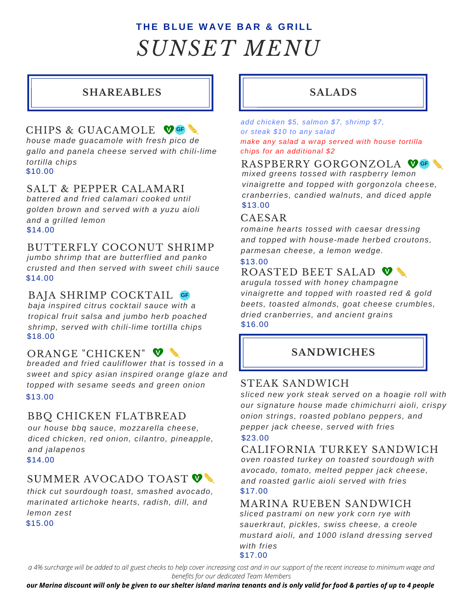# **T H E B L U E W A VE B A R & G R I L L** *SUNSET MENU*

### **SHAREABLES**

### CHIPS & GUACAMOLE **V GF**

\$10.00 *house made guacamole with fresh pico de gallo and panela cheese served with chili-lime tortilla chips*

### SALT & PEPPER CALAMARI

\$14.00 *battered and fried calamari cooked until golden brown and served with a yuzu aioli and a grilled lemon*

### BUTTERFLY COCONUT SHRIMP

*jumbo shrimp that are butterflied and panko crusted and then served with sweet chili sauce* \$14.00

### BAJA SHRIMP COCKTAIL **GF**

\$18.00 *baja inspired citrus cocktail sauce with a tropical fruit salsa and jumbo herb poached shrimp, served with chili-lime tortilla chips*

### ORANGE "CHICKEN"

*breaded and fried cauliflower that is tossed in a sweet and spicy asian inspired orange glaze and topped with sesame seeds and green onion* \$13.00

### BBQ CHICKEN FLATBREAD

*our house bbq sauce, mozzarella cheese, diced chicken, red onion, cilantro, pineapple, and jalapenos* \$14.00

### **V** SUMMER AVOCADO TOAST

*thick cut sourdough toast, smashed avocado, marinated artichoke hearts, radish, dill, and lemon zest* \$15.00

### **SALADS**

*add chicken \$5, salmon \$7, shrimp \$7, or steak \$10 to any salad make any salad a wrap served with house tortilla chips for an additional \$2*

## RASPBERRY GORGONZOLA **V GF**

*mixed greens tossed with raspberry lemon vinaigrette and topped with gorgonzola cheese, cranberries, candied walnuts, and diced apple* \$13.00

### CAESAR

*romaine hearts tossed with caesar dressing and topped with house-made herbed croutons, parmesan cheese, a lemon wedge.*

### \$13.00

### ROASTED BEET SALAD **V**

*arugula tossed with honey champagne vinaigrette and topped with roasted red & gold beets, toasted almonds, goat cheese crumbles, dried cranberries, and ancient grains* \$16.00

### **V SANDWICHES**

### STEAK SANDWICH

*sliced new york steak served on a hoagie roll with our signature house made chimichurri aioli, crispy onion strings, roasted poblano peppers, and pepper jack cheese, served with fries* \$23.00

### CALIFORNIA TURKEY SANDWICH

*oven roasted turkey on toasted sourdough with avocado, tomato, melted pepper jack cheese, and roasted garlic aioli served with fries* \$17.00

### MARINA RUEBEN SANDWICH

*sliced pastrami on new york corn rye with sauerkraut, pickles, swiss cheese, a creole mustard aioli, and 1000 island dressing served with fries*

#### \$17.00

*a 4% surcharge will be added to all guest checks to help cover increasing cost and in our support of the recent increase to minimum wage and benefits for our dedicated Team Members*

*our Marina discount will only be given to our shelter island marina tenants and is only valid for food & parties of up to 4 people*